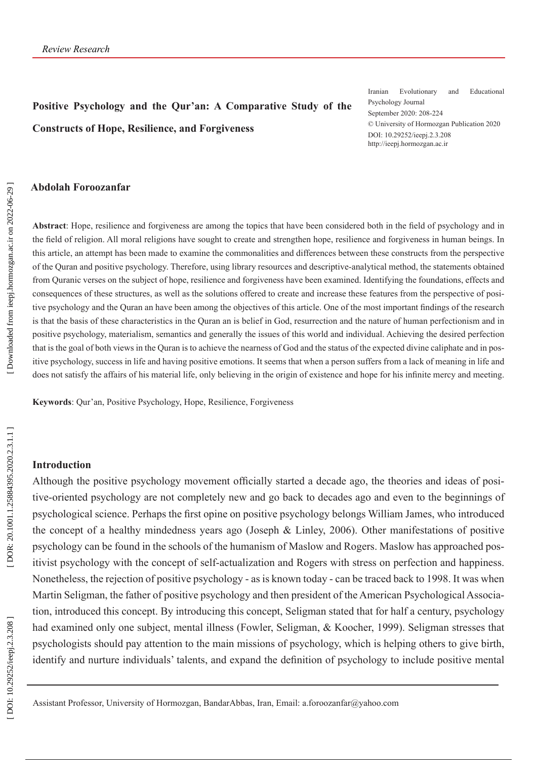# **Positive Psychology and the Qur'an: A Comparative Study of the Constructs of Hope, Resilience, and Forgiveness**

Iranian Evolutionary and Educational Psychology Journal September 2020: 208-224 © University of Hormozgan Publication 2020 DOI: 10.29252/ieepj.2.3.208 http://ieepj.hormozgan.ac.ir

#### **Abdolah Foroozanfar**

**Abstract**: Hope, resilience and forgiveness are among the topics that have been considered both in the field of psychology and in the field of religion. All moral religions have sought to create and strengthen hope, resilience and forgiveness in human beings. In this article, an attempt has been made to examine the commonalities and differences between these constructs from the perspective of the Quran and positive psychology. Therefore, using library resources and descriptive-analytical method, the statements obtained from Quranic verses on the subject of hope, resilience and forgiveness have been examined. Identifying the foundations, effects and consequences of these structures, as well as the solutions offered to create and increase these features from the perspective of posi tive psychology and the Quran an have been among the objectives of this article. One of the most important findings of the research is that the basis of these characteristics in the Quran an is belief in God, resurrection and the nature of human perfectionism and in positive psychology, materialism, semantics and generally the issues of this world and individual. Achieving the desired perfection that is the goal of both views in the Quran is to achieve the nearness of God and the status of the expected divine caliphate and in pos itive psychology, success in life and having positive emotions. It seems that when a person suffers from a lack of meaning in life and does not satisfy the affairs of his material life, only believing in the origin of existence and hope for his infinite mercy and meeting.

**Keywords**: Qur'an, Positive Psychology, Hope, Resilience, Forgiveness

#### **Introduction**

Although the positive psychology movement officially started a decade ago, the theories and ideas of posi tive-oriented psychology are not completely new and go back to decades ago and even to the beginnings of psychological science. Perhaps the first opine on positive psychology belongs William James, who introduced the concept of a healthy mindedness years ago (Joseph & Linley, 2006). Other manifestations of positive psychology can be found in the schools of the humanism of Maslow and Rogers. Maslow has approached pos itivist psychology with the concept of self-actualization and Rogers with stress on perfection and happiness. Nonetheless, the rejection of positive psychology - as is known today - can be traced back to 1998. It was when Martin Seligman, the father of positive psychology and then president of the American Psychological Associa tion, introduced this concept. By introducing this concept, Seligman stated that for half a century, psychology had examined only one subject, mental illness (Fowler, Seligman, & Koocher, 1999). Seligman stresses that psychologists should pay attention to the main missions of psychology, which is helping others to give birth, identify and nurture individuals' talents, and expand the definition of psychology to include positive mental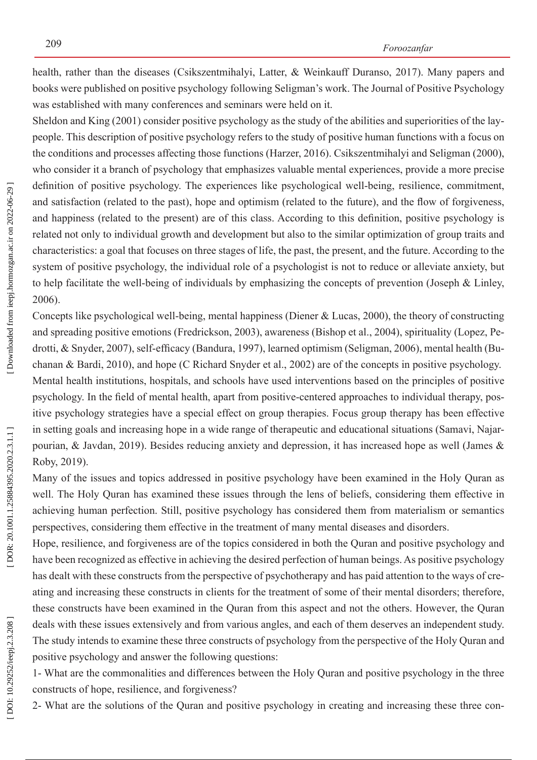health, rather than the diseases (Csikszentmihalyi, Latter, & Weinkauff Duranso, 2017). Many papers and books were published on positive psychology following Seligman's work. The Journal of Positive Psychology was established with many conferences and seminars were held on it.

Sheldon and King (2001) consider positive psychology as the study of the abilities and superiorities of the lay people. This description of positive psychology refers to the study of positive human functions with a focus on the conditions and processes affecting those functions (Harzer, 2016). Csikszentmihalyi and Seligman (2000), who consider it a branch of psychology that emphasizes valuable mental experiences, provide a more precise definition of positive psychology. The experiences like psychological well-being, resilience, commitment, and satisfaction (related to the past), hope and optimism (related to the future), and the flow of forgiveness, and happiness (related to the present) are of this class. According to this definition, positive psychology is related not only to individual growth and development but also to the similar optimization of group traits and characteristics: a goal that focuses on three stages of life, the past, the present, and the future. According to the system of positive psychology, the individual role of a psychologist is not to reduce or alleviate anxiety, but to help facilitate the well-being of individuals by emphasizing the concepts of prevention (Joseph & Linley, 2006).

Concepts like psychological well-being, mental happiness (Diener & Lucas, 2000), the theory of constructing and spreading positive emotions (Fredrickson, 2003), awareness (Bishop et al., 2004), spirituality (Lopez, Pe drotti, & Snyder, 2007), self-efficacy (Bandura, 1997), learned optimism (Seligman, 2006), mental health (Bu chanan & Bardi, 2010), and hope (C Richard Snyder et al., 2002) are of the concepts in positive psychology. Mental health institutions, hospitals, and schools have used interventions based on the principles of positive psychology. In the field of mental health, apart from positive-centered approaches to individual therapy, pos itive psychology strategies have a special effect on group therapies. Focus group therapy has been effective in setting goals and increasing hope in a wide range of therapeutic and educational situations (Samavi, Najar pourian, & Javdan, 2019). Besides reducing anxiety and depression, it has increased hope as well (James & Roby, 2019).

Many of the issues and topics addressed in positive psychology have been examined in the Holy Quran as well. The Holy Quran has examined these issues through the lens of beliefs, considering them effective in achieving human perfection. Still, positive psychology has considered them from materialism or semantics perspectives, considering them effective in the treatment of many mental diseases and disorders.

Hope, resilience, and forgiveness are of the topics considered in both the Quran and positive psychology and have been recognized as effective in achieving the desired perfection of human beings. As positive psychology has dealt with these constructs from the perspective of psychotherapy and has paid attention to the ways of creating and increasing these constructs in clients for the treatment of some of their mental disorders; therefore, these constructs have been examined in the Quran from this aspect and not the others. However, the Quran deals with these issues extensively and from various angles, and each of them deserves an independent study. The study intends to examine these three constructs of psychology from the perspective of the Holy Quran and positive psychology and answer the following questions:

1- What are the commonalities and differences between the Holy Quran and positive psychology in the three constructs of hope, resilience, and forgiveness?

2- What are the solutions of the Quran and positive psychology in creating and increasing these three con -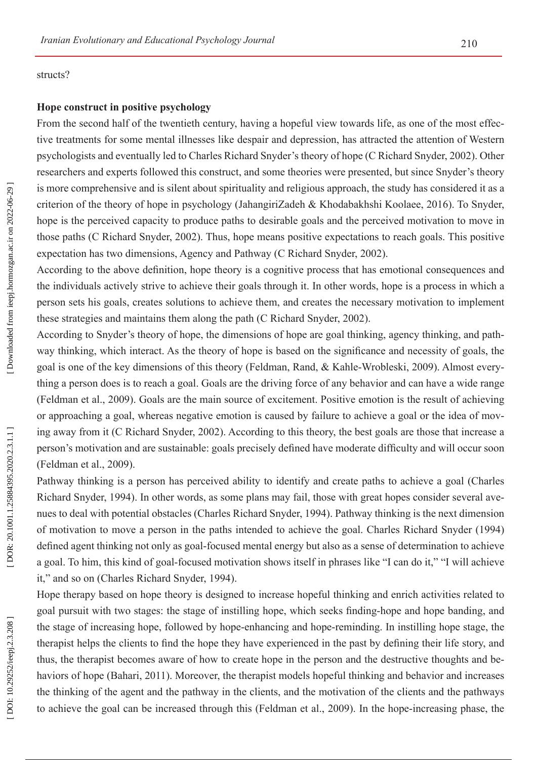#### structs?

#### **Hope construct in positive psychology**

From the second half of the twentieth century, having a hopeful view towards life, as one of the most effec tive treatments for some mental illnesses like despair and depression, has attracted the attention of Western psychologists and eventually led to Charles Richard Snyder's theory of hope (C Richard Snyder, 2002). Other researchers and experts followed this construct, and some theories were presented, but since Snyder's theory is more comprehensive and is silent about spirituality and religious approach, the study has considered it as a criterion of the theory of hope in psychology (JahangiriZadeh & Khodabakhshi Koolaee, 2016). To Snyder, hope is the perceived capacity to produce paths to desirable goals and the perceived motivation to move in those paths (C Richard Snyder, 2002). Thus, hope means positive expectations to reach goals. This positive expectation has two dimensions, Agency and Pathway (C Richard Snyder, 2002).

According to the above definition, hope theory is a cognitive process that has emotional consequences and the individuals actively strive to achieve their goals through it. In other words, hope is a process in which a person sets his goals, creates solutions to achieve them, and creates the necessary motivation to implement these strategies and maintains them along the path (C Richard Snyder, 2002).

According to Snyder's theory of hope, the dimensions of hope are goal thinking, agency thinking, and path way thinking, which interact. As the theory of hope is based on the significance and necessity of goals, the goal is one of the key dimensions of this theory (Feldman, Rand, & Kahle-Wrobleski, 2009). Almost every thing a person does is to reach a goal. Goals are the driving force of any behavior and can have a wide range (Feldman et al., 2009). Goals are the main source of excitement. Positive emotion is the result of achieving or approaching a goal, whereas negative emotion is caused by failure to achieve a goal or the idea of mov ing away from it (C Richard Snyder, 2002). According to this theory, the best goals are those that increase a person's motivation and are sustainable: goals precisely defined have moderate difficulty and will occur soon (Feldman et al., 2009).

Pathway thinking is a person has perceived ability to identify and create paths to achieve a goal (Charles Richard Snyder, 1994). In other words, as some plans may fail, those with great hopes consider several ave nues to deal with potential obstacles (Charles Richard Snyder, 1994). Pathway thinking is the next dimension of motivation to move a person in the paths intended to achieve the goal. Charles Richard Snyder (1994) defined agent thinking not only as goal-focused mental energy but also as a sense of determination to achieve a goal. To him, this kind of goal-focused motivation shows itself in phrases like "I can do it," "I will achieve it," and so on (Charles Richard Snyder, 1994).

Hope therapy based on hope theory is designed to increase hopeful thinking and enrich activities related to goal pursuit with two stages: the stage of instilling hope, which seeks finding-hope and hope banding, and the stage of increasing hope, followed by hope-enhancing and hope-reminding. In instilling hope stage, the therapist helps the clients to find the hope they have experienced in the past by defining their life story, and thus, the therapist becomes aware of how to create hope in the person and the destructive thoughts and be haviors of hope (Bahari, 2011). Moreover, the therapist models hopeful thinking and behavior and increases the thinking of the agent and the pathway in the clients, and the motivation of the clients and the pathways to achieve the goal can be increased through this (Feldman et al., 2009). In the hope-increasing phase, the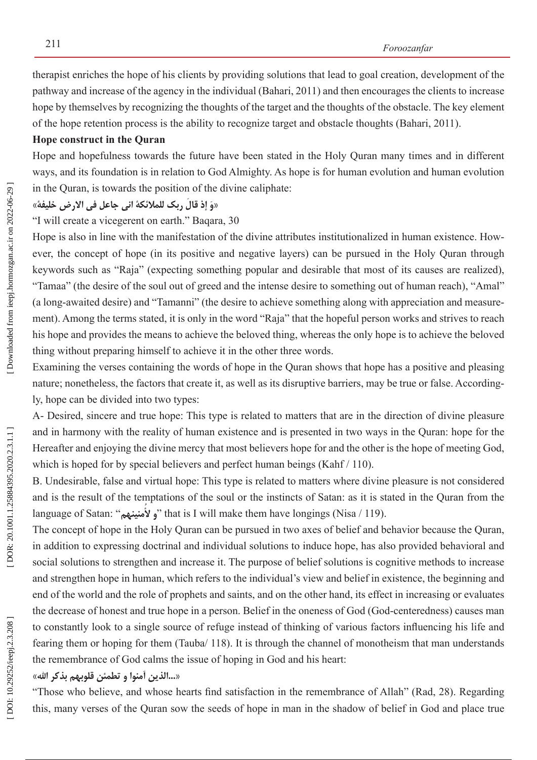therapist enriches the hope of his clients by providing solutions that lead to goal creation, development of the pathway and increase of the agency in the individual (Bahari, 2011) and then encourages the clients to increase hope by themselves by recognizing the thoughts of the target and the thoughts of the obstacle. The key element of the hope retention process is the ability to recognize target and obstacle thoughts (Bahari, 2011).

#### **Hope construct in the Quran**

Hope and hopefulness towards the future have been stated in the Holy Quran many times and in different ways, and its foundation is in relation to God Almighty. As hope is for human evolution and human evolution in the Quran, is towards the position of the divine caliphate:

# **«خلیفة االرض فی جاعل انی للمالئکة ربک قال إذ َ وَ«**

"I will create a vicegerent on earth." Baqara, 30

Hope is also in line with the manifestation of the divine attributes institutionalized in human existence. How ever, the concept of hope (in its positive and negative layers) can be pursued in the Holy Quran through keywords such as "Raja" (expecting something popular and desirable that most of its causes are realized), "Tamaa" (the desire of the soul out of greed and the intense desire to something out of human reach), "Amal" (a long-awaited desire) and "Tamanni" (the desire to achieve something along with appreciation and measure ment). Among the terms stated, it is only in the word "Raja" that the hopeful person works and strives to reach his hope and provides the means to achieve the beloved thing, whereas the only hope is to achieve the beloved thing without preparing himself to achieve it in the other three words.

Examining the verses containing the words of hope in the Quran shows that hope has a positive and pleasing nature; nonetheless, the factors that create it, as well as its disruptive barriers, may be true or false. According ly, hope can be divided into two types:

A- Desired, sincere and true hope: This type is related to matters that are in the direction of divine pleasure and in harmony with the reality of human existence and is presented in two ways in the Quran: hope for the Hereafter and enjoying the divine mercy that most believers hope for and the other is the hope of meeting God, which is hoped for by special believers and perfect human beings (Kahf / 110).

B. Undesirable, false and virtual hope: This type is related to matters where divine pleasure is not considered and is the result of the temptations of the soul or the instincts of Satan: as it is stated in the Quran from the language of Satan: "**و لأمنينهم**" that is I will make them have longings (Nisa / 119). **ُ**

The concept of hope in the Holy Quran can be pursued in two axes of belief and behavior because the Quran, in addition to expressing doctrinal and individual solutions to induce hope, has also provided behavioral and social solutions to strengthen and increase it. The purpose of belief solutions is cognitive methods to increase and strengthen hope in human, which refers to the individual's view and belief in existence, the beginning and end of the world and the role of prophets and saints, and on the other hand, its effect in increasing or evaluates the decrease of honest and true hope in a person. Belief in the oneness of God (God-centeredness) causes man to constantly look to a single source of refuge instead of thinking of various factors influencing his life and fearing them or hoping for them (Tauba/ 118). It is through the channel of monotheism that man understands the remembrance of God calms the issue of hoping in God and his heart:

#### **«اهلل بذکر قلوبهم تطمئن و آمنوا الذین...«**

"Those who believe, and whose hearts find satisfaction in the remembrance of Allah" (Rad, 28). Regarding this, many verses of the Quran sow the seeds of hope in man in the shadow of belief in God and place true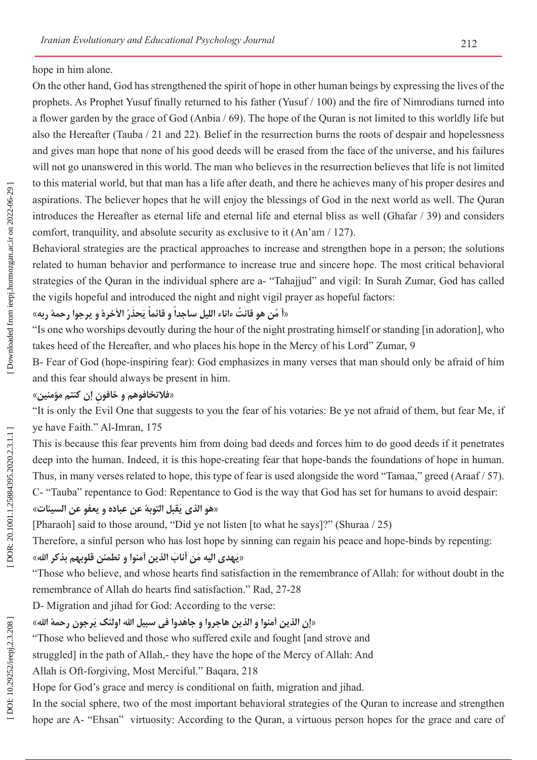hope in him alone.

On the other hand, God has strengthened the spirit of hope in other human beings by expressing the lives of the prophets. As Prophet Yusuf finally returned to his father (Yusuf / 100) and the fire of Nimrodians turned into a flower garden by the grace of God (Anbia / 69). The hope of the Quran is not limited to this worldly life but also the Hereafter (Tauba / 21 and 22). Belief in the resurrection burns the roots of despair and hopelessness and gives man hope that none of his good deeds will be erased from the face of the universe, and his failures will not go unanswered in this world. The man who believes in the resurrection believes that life is not limited to this material world, but that man has a life after death, and there he achieves many of his proper desires and aspirations. The believer hopes that he will enjoy the blessings of God in the next world as well. The Quran introduces the Hereafter as eternal life and eternal life and eternal bliss as well (Ghafar / 39) and considers comfort, tranquility, and absolute security as exclusive to it (An'am / 127).

Behavioral strategies are the practical approaches to increase and strengthen hope in a person; the solutions related to human behavior and performance to increase true and sincere hope. The most critical behavioral strategies of the Quran in the individual sphere are a- "Tahajjud" and vigil: In Surah Zumar, God has called the vigils hopeful and introduced the night and night vigil prayer as hopeful factors:

# «أ مَّن هو قانتْ ءاناء الليل ساجداً و قائماً يَحذرُ الأخرة و يرجوا رحمهٔ ربه»

"Is one who worships devoutly during the hour of the night prostrating himself or standing [in adoration], who takes heed of the Hereafter, and who places his hope in the Mercy of his Lord" Zumar, 9

B- Fear of God (hope-inspiring fear): God emphasizes in many verses that man should only be afraid of him and this fear should always be present in him.

## **«مؤمنین کنتم إن خافون و فالتخافوهم ِ«**

"It is only the Evil One that suggests to you the fear of his votaries: Be ye not afraid of them, but fear Me, if ye have Faith." Al-Imran, 175

This is because this fear prevents him from doing bad deeds and forces him to do good deeds if it penetrates deep into the human. Indeed, it is this hope-creating fear that hope-bands the foundations of hope in human. Thus, in many verses related to hope, this type of fear is used alongside the word "Tamaa," greed (Araaf / 57). C- "Tauba" repentance to God: Repentance to God is the way that God has set for humans to avoid despair:

#### «هو الذى يَقبل التوبهٔ عن عباده و يعفو عن السيئات»

[Pharaoh] said to those around, "Did ye not listen [to what he says]?" (Shuraa / 25)

Therefore, a sinful person who has lost hope by sinning can regain his peace and hope-binds by repenting:

## **«اهلل بذکر قلوبهم تطمئن و آمنوا الذین أناب ن َ م الیه هدی َ َی«**

"Those who believe, and whose hearts find satisfaction in the remembrance of Allah: for without doubt in the remembrance of Allah do hearts find satisfaction." Rad, 27-28

D- Migration and jihad for God: According to the verse:

### «إن الذين أمنوا و الذين هاجروا و جاهدوا في سبيل الله اولئک يَرجون رحمهٔ الله»

"Those who believed and those who suffered exile and fought [and strove and

struggled] in the path of Allah,- they have the hope of the Mercy of Allah: And

Allah is Oft-forgiving, Most Merciful." Baqara, 218

Hope for God's grace and mercy is conditional on faith, migration and jihad.

In the social sphere, two of the most important behavioral strategies of the Quran to increase and strengthen hope are A- "Ehsan" virtuosity: According to the Quran, a virtuous person hopes for the grace and care of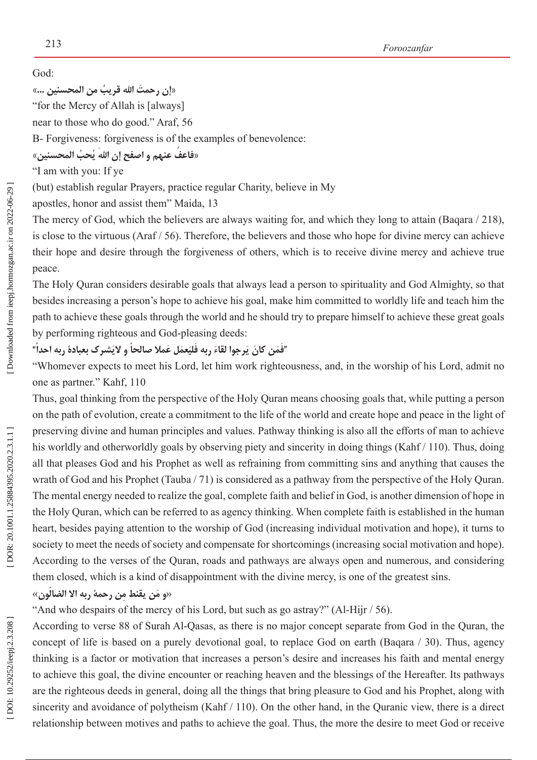God:

**َ إن رحمت ٌ اهلل قریب من المحسنین ...» »**

"for the Mercy of Allah is [always]

near to those who do good." Araf, 56

B- Forgiveness: forgiveness is of the examples of benevolence:

«فاعفُ عنهم و اصفح إن الله يُحبُ المحسنين»

"I am with you: If ye

(but) establish regular Prayers, practice regular Charity, believe in My

apostles, honor and assist them" Maida, 13

The mercy of God, which the believers are always waiting for, and which they long to attain (Baqara / 218), is close to the virtuous (Araf / 56). Therefore, the believers and those who hope for divine mercy can achieve their hope and desire through the forgiveness of others, which is to receive divine mercy and achieve true peace.

The Holy Quran considers desirable goals that always lead a person to spirituality and God Almighty, so that besides increasing a person's hope to achieve his goal, make him committed to worldly life and teach him the path to achieve these goals through the world and he should try to prepare himself to achieve these great goals by performing righteous and God-pleasing deeds:

#### **"ً شرک بعبادة ربه احدا و الی َعم َل عمال صالحا َ رجوا لقاء َ ربه فلی َف َم َ ن کان ی " َ َ َ**

"Whomever expects to meet his Lord, let him work righteousness, and, in the worship of his Lord, admit no one as partner." Kahf, 110

Thus, goal thinking from the perspective of the Holy Quran means choosing goals that, while putting a person on the path of evolution, create a commitment to the life of the world and create hope and peace in the light of preserving divine and human principles and values. Pathway thinking is also all the efforts of man to achieve his worldly and otherworldly goals by observing piety and sincerity in doing things (Kahf / 110). Thus, doing all that pleases God and his Prophet as well as refraining from committing sins and anything that causes the wrath of God and his Prophet (Tauba / 71) is considered as a pathway from the perspective of the Holy Quran. The mental energy needed to realize the goal, complete faith and belief in God, is another dimension of hope in the Holy Quran, which can be referred to as agency thinking. When complete faith is established in the human heart, besides paying attention to the worship of God (increasing individual motivation and hope), it turns to society to meet the needs of society and compensate for shortcomings (increasing social motivation and hope). According to the verses of the Quran, roads and pathways are always open and numerous, and considering them closed, which is a kind of disappointment with the divine mercy, is one of the greatest sins.

«و مَن يقنط مِن رحمة ربه الا الضالُون»

"And who despairs of the mercy of his Lord, but such as go astray?" (Al-Hijr / 56).

According to verse 88 of Surah Al-Qasas, as there is no major concept separate from God in the Quran, the concept of life is based on a purely devotional goal, to replace God on earth (Baqara / 30). Thus, agency thinking is a factor or motivation that increases a person's desire and increases his faith and mental energy to achieve this goal, the divine encounter or reaching heaven and the blessings of the Hereafter. Its pathways are the righteous deeds in general, doing all the things that bring pleasure to God and his Prophet, along with sincerity and avoidance of polytheism (Kahf / 110). On the other hand, in the Quranic view, there is a direct relationship between motives and paths to achieve the goal. Thus, the more the desire to meet God or receive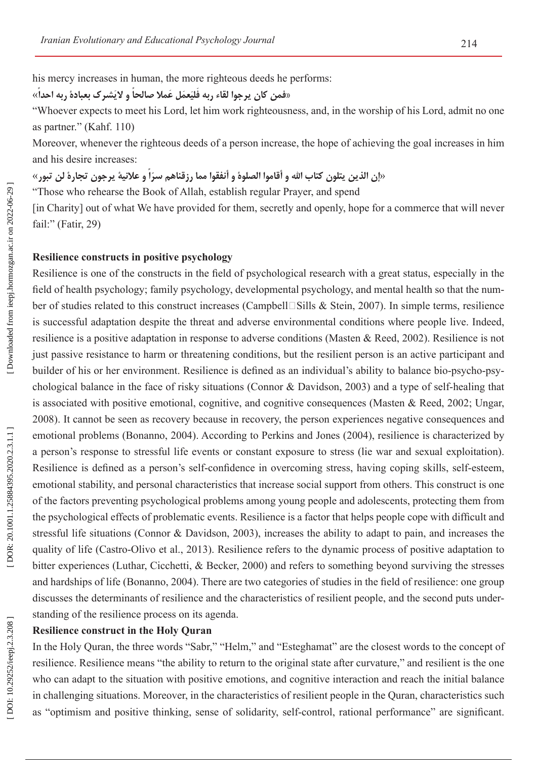his mercy increases in human, the more righteous deeds he performs: «**ً شرک بعبادة ربه احدا و الی َعم َل عمال صالحا َ فمن کان یرجوا لقاء ربه فلی »**

#### **َ َ**

"Whoever expects to meet his Lord, let him work righteousness, and, in the worship of his Lord, admit no one as partner." (Kahf. 110)

Moreover, whenever the righteous deeds of a person increase, the hope of achieving the goal increases in him

«إن الذين يتلون كتاب الله و أقاموا الصلوة و أنفقوا مما رزقناهم سرّاً و علانية يرجون تجارة لن تبور»<br>«إن الذين يتلون كتاب الله و أقاموا الصلوة و أنفقوا مما رزقناهم سرّاً و علانية يرجون تجارة لن تبور»

"Those who rehearse the Book of Allah, establish regular Prayer, and spend

[in Charity] out of what We have provided for them, secretly and openly, hope for a commerce that will never fail:" (Fatir, 29)

#### **Resilience constructs in positive psychology**

Resilience is one of the constructs in the field of psychological research with a great status, especially in the field of health psychology; family psychology, developmental psychology, and mental health so that the num ber of studies related to this construct increases (Campbell□Sills & Stein, 2007). In simple terms, resilience is successful adaptation despite the threat and adverse environmental conditions where people live. Indeed, resilience is a positive adaptation in response to adverse conditions (Masten & Reed, 2002). Resilience is not just passive resistance to harm or threatening conditions, but the resilient person is an active participant and builder of his or her environment. Resilience is defined as an individual's ability to balance bio-psycho-psy chological balance in the face of risky situations (Connor & Davidson, 2003) and a type of self-healing that is associated with positive emotional, cognitive, and cognitive consequences (Masten & Reed, 2002; Ungar, 2008). It cannot be seen as recovery because in recovery, the person experiences negative consequences and emotional problems (Bonanno, 2004). According to Perkins and Jones (2004), resilience is characterized by a person's response to stressful life events or constant exposure to stress (lie war and sexual exploitation). Resilience is defined as a person's self-confidence in overcoming stress, having coping skills, self-esteem, emotional stability, and personal characteristics that increase social support from others. This construct is one of the factors preventing psychological problems among young people and adolescents, protecting them from the psychological effects of problematic events. Resilience is a factor that helps people cope with difficult and stressful life situations (Connor & Davidson, 2003), increases the ability to adapt to pain, and increases the quality of life (Castro-Olivo et al., 2013). Resilience refers to the dynamic process of positive adaptation to bitter experiences (Luthar, Cicchetti, & Becker, 2000) and refers to something beyond surviving the stresses and hardships of life (Bonanno, 2004). There are two categories of studies in the field of resilience: one group discusses the determinants of resilience and the characteristics of resilient people, and the second puts understanding of the resilience process on its agenda.

#### **Resilience construct in the Holy Quran**

In the Holy Quran, the three words "Sabr," "Helm," and "Esteghamat" are the closest words to the concept of resilience. Resilience means "the ability to return to the original state after curvature," and resilient is the one who can adapt to the situation with positive emotions, and cognitive interaction and reach the initial balance in challenging situations. Moreover, in the characteristics of resilient people in the Quran, characteristics such as "optimism and positive thinking, sense of solidarity, self-control, rational performance" are significant.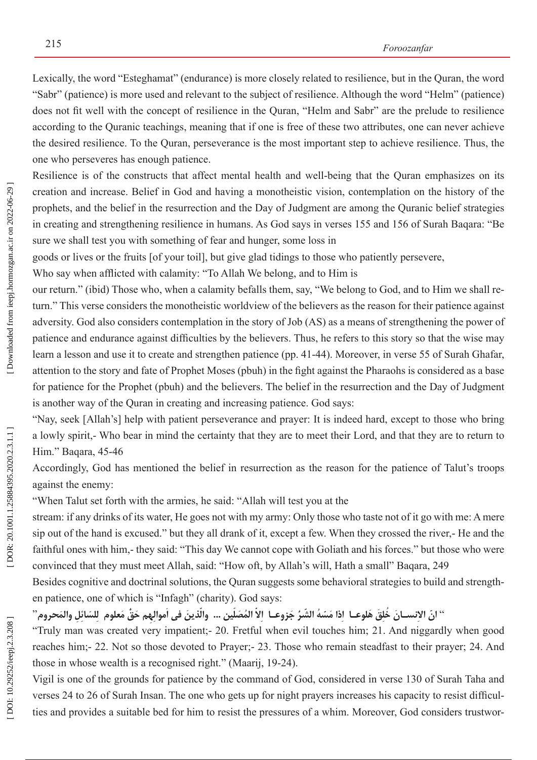Lexically, the word "Esteghamat" (endurance) is more closely related to resilience, but in the Quran, the word "Sabr" (patience) is more used and relevant to the subject of resilience. Although the word "Helm" (patience) does not fit well with the concept of resilience in the Quran, "Helm and Sabr" are the prelude to resilience according to the Quranic teachings, meaning that if one is free of these two attributes, one can never achieve the desired resilience. To the Quran, perseverance is the most important step to achieve resilience. Thus, the one who perseveres has enough patience.

Resilience is of the constructs that affect mental health and well-being that the Quran emphasizes on its creation and increase. Belief in God and having a monotheistic vision, contemplation on the history of the prophets, and the belief in the resurrection and the Day of Judgment are among the Quranic belief strategies in creating and strengthening resilience in humans. As God says in verses 155 and 156 of Surah Baqara: "Be sure we shall test you with something of fear and hunger, some loss in

goods or lives or the fruits [of your toil], but give glad tidings to those who patiently persevere,

Who say when afflicted with calamity: "To Allah We belong, and to Him is

our return." (ibid) Those who, when a calamity befalls them, say, "We belong to God, and to Him we shall re turn." This verse considers the monotheistic worldview of the believers as the reason for their patience against adversity. God also considers contemplation in the story of Job (AS) as a means of strengthening the power of patience and endurance against difficulties by the believers. Thus, he refers to this story so that the wise may learn a lesson and use it to create and strengthen patience (pp. 41-44). Moreover, in verse 55 of Surah Ghafar, attention to the story and fate of Prophet Moses (pbuh) in the fight against the Pharaohs is considered as a base for patience for the Prophet (pbuh) and the believers. The belief in the resurrection and the Day of Judgment is another way of the Quran in creating and increasing patience. God says:

"Nay, seek [Allah's] help with patient perseverance and prayer: It is indeed hard, except to those who bring a lowly spirit,- Who bear in mind the certainty that they are to meet their Lord, and that they are to return to Him." Baqara, 45-46

Accordingly, God has mentioned the belief in resurrection as the reason for the patience of Talut's troops against the enemy:

"When Talut set forth with the armies, he said: "Allah will test you at the

stream: if any drinks of its water, He goes not with my army: Only those who taste not of it go with me: A mere sip out of the hand is excused." but they all drank of it, except a few. When they crossed the river,- He and the faithful ones with him,- they said: "This day We cannot cope with Goliath and his forces." but those who were convinced that they must meet Allah, said: "How oft, by Allah's will, Hath a small" Baqara, 249

Besides cognitive and doctrinal solutions, the Quran suggests some behavioral strategies to build and strength en patience, one of which is "Infagh" (charity). God says:

'' انّ الإنســانَ خَلِقَ هَلوعــا ۖ إذا مَسّهُ الشّرُ جَزوعــا ۖ إلاّ المُصَلّين … والّذينَ في اموالِهِم حَقْ مَعلوم ۖ لِلسّائِلِ والمَحروم'' **َ َّ**

"Truly man was created very impatient;- 20. Fretful when evil touches him; 21. And niggardly when good reaches him;- 22. Not so those devoted to Prayer;- 23. Those who remain steadfast to their prayer; 24. And those in whose wealth is a recognised right." (Maarij, 19-24).

Vigil is one of the grounds for patience by the command of God, considered in verse 130 of Surah Taha and verses 24 to 26 of Surah Insan. The one who gets up for night prayers increases his capacity to resist difficul ties and provides a suitable bed for him to resist the pressures of a whim. Moreover, God considers trustwor -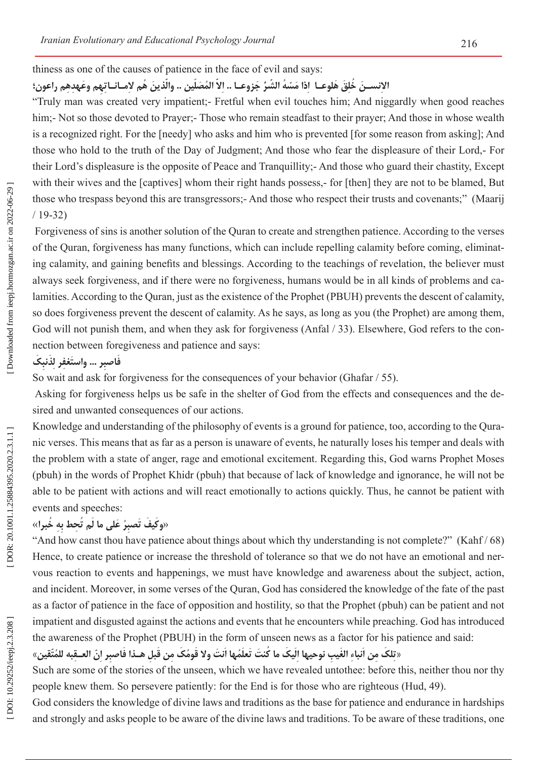thiness as one of the causes of patience in the face of evil and says:

#### الإنســنَ خَلِقَ هَلوعــا ۖ إذا مَسّهُ الشّرُ جَزوعــا .. إلاّ المُصَلّين .. والّذينَ هُم لامــانــاتِهِم وعَهدِهِم راعون؛ **ِ َّ**

"Truly man was created very impatient;- Fretful when evil touches him; And niggardly when good reaches him;- Not so those devoted to Prayer;- Those who remain steadfast to their prayer; And those in whose wealth is a recognized right. For the [needy] who asks and him who is prevented [for some reason from asking]; And those who hold to the truth of the Day of Judgment; And those who fear the displeasure of their Lord,- For their Lord's displeasure is the opposite of Peace and Tranquillity;- And those who guard their chastity, Except with their wives and the [captives] whom their right hands possess,- for [then] they are not to be blamed, But those who trespass beyond this are transgressors;- And those who respect their trusts and covenants;" (Maarij / 19-32)

 Forgiveness of sins is another solution of the Quran to create and strengthen patience. According to the verses of the Quran, forgiveness has many functions, which can include repelling calamity before coming, eliminat ing calamity, and gaining benefits and blessings. According to the teachings of revelation, the believer must always seek forgiveness, and if there were no forgiveness, humans would be in all kinds of problems and ca lamities. According to the Quran, just as the existence of the Prophet (PBUH) prevents the descent of calamity, so does forgiveness prevent the descent of calamity. As he says, as long as you (the Prophet) are among them, God will not punish them, and when they ask for forgiveness (Anfal / 33). Elsewhere, God refers to the connection between foregiveness and patience and says:

#### **كَ ِ نب َذ ِغفر لِ ر ... واستَ َفاصب ِ**

So wait and ask for forgiveness for the consequences of your behavior (Ghafar / 55).

 Asking for forgiveness helps us be safe in the shelter of God from the effects and consequences and the de sired and unwanted consequences of our actions.

Knowledge and understanding of the philosophy of events is a ground for patience, too, according to the Qura nic verses. This means that as far as a person is unaware of events, he naturally loses his temper and deals with the problem with a state of anger, rage and emotional excitement. Regarding this, God warns Prophet Moses (pbuh) in the words of Prophet Khidr (pbuh) that because of lack of knowledge and ignorance, he will not be able to be patient with actions and will react emotionally to actions quickly. Thus, he cannot be patient with events and speeches:

#### «**خبرا ُ هِ ِ ُم ت ِحط ب ما ل َ على ُر صب تَكي َف و** » **َ ِ َ**

"And how canst thou have patience about things about which thy understanding is not complete?" (Kahf / 68) Hence, to create patience or increase the threshold of tolerance so that we do not have an emotional and ner vous reaction to events and happenings, we must have knowledge and awareness about the subject, action, and incident. Moreover, in some verses of the Quran, God has considered the knowledge of the fate of the past as a factor of patience in the face of opposition and hostility, so that the Prophet (pbuh) can be patient and not impatient and disgusted against the actions and events that he encounters while preaching. God has introduced the awareness of the Prophet (PBUH) in the form of unseen news as a factor for his patience and said:

#### «تِلكُ مِن اُنباءِ الغَيبِ نوحيها اِلْيكُ ما كُنتَ تَعلَّمُها اُنتَ ولا قَومُكُ مِن قَبلِ هـذا فَاصبر اِنّ العـقبه للمُتَّقين» **َ َ َ َ**

Such are some of the stories of the unseen, which we have revealed untothee: before this, neither thou nor thy people knew them. So persevere patiently: for the End is for those who are righteous (Hud, 49).

God considers the knowledge of divine laws and traditions as the base for patience and endurance in hardships and strongly and asks people to be aware of the divine laws and traditions. To be aware of these traditions, one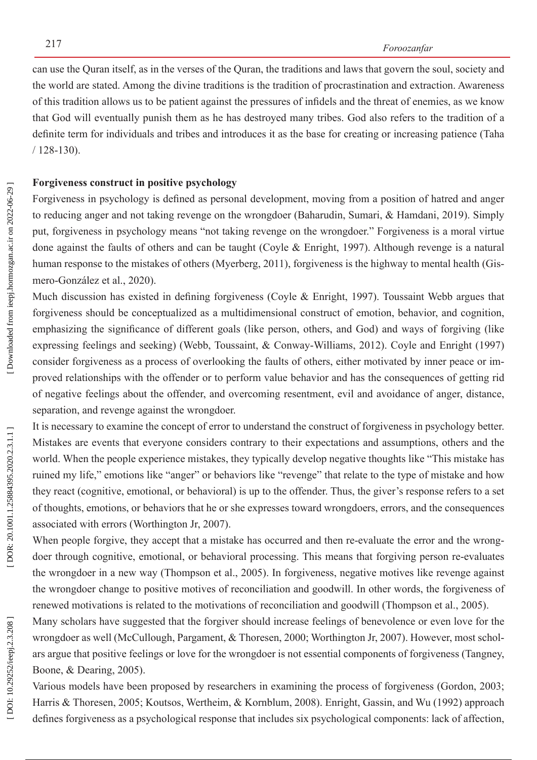can use the Quran itself, as in the verses of the Quran, the traditions and laws that govern the soul, society and the world are stated. Among the divine traditions is the tradition of procrastination and extraction. Awareness of this tradition allows us to be patient against the pressures of infidels and the threat of enemies, as we know that God will eventually punish them as he has destroyed many tribes. God also refers to the tradition of a definite term for individuals and tribes and introduces it as the base for creating or increasing patience (Taha / 128-130).

#### **Forgiveness construct in positive psychology**

Forgiveness in psychology is defined as personal development, moving from a position of hatred and anger to reducing anger and not taking revenge on the wrongdoer (Baharudin, Sumari, & Hamdani, 2019). Simply put, forgiveness in psychology means "not taking revenge on the wrongdoer." Forgiveness is a moral virtue done against the faults of others and can be taught (Coyle & Enright, 1997). Although revenge is a natural human response to the mistakes of others (Myerberg, 2011), forgiveness is the highway to mental health (Gis mero-González et al., 2020).

Much discussion has existed in defining forgiveness (Coyle & Enright, 1997). Toussaint Webb argues that forgiveness should be conceptualized as a multidimensional construct of emotion, behavior, and cognition, emphasizing the significance of different goals (like person, others, and God) and ways of forgiving (like expressing feelings and seeking) (Webb, Toussaint, & Conway-Williams, 2012). Coyle and Enright (1997) consider forgiveness as a process of overlooking the faults of others, either motivated by inner peace or im proved relationships with the offender or to perform value behavior and has the consequences of getting rid of negative feelings about the offender, and overcoming resentment, evil and avoidance of anger, distance, separation, and revenge against the wrongdoer.

It is necessary to examine the concept of error to understand the construct of forgiveness in psychology better. Mistakes are events that everyone considers contrary to their expectations and assumptions, others and the world. When the people experience mistakes, they typically develop negative thoughts like "This mistake has ruined my life," emotions like "anger" or behaviors like "revenge" that relate to the type of mistake and how they react (cognitive, emotional, or behavioral) is up to the offender. Thus, the giver's response refers to a set of thoughts, emotions, or behaviors that he or she expresses toward wrongdoers, errors, and the consequences associated with errors (Worthington Jr, 2007).

When people forgive, they accept that a mistake has occurred and then re-evaluate the error and the wrongdoer through cognitive, emotional, or behavioral processing. This means that forgiving person re-evaluates the wrongdoer in a new way (Thompson et al., 2005). In forgiveness, negative motives like revenge against the wrongdoer change to positive motives of reconciliation and goodwill. In other words, the forgiveness of renewed motivations is related to the motivations of reconciliation and goodwill (Thompson et al., 2005).

Many scholars have suggested that the forgiver should increase feelings of benevolence or even love for the wrongdoer as well (McCullough, Pargament, & Thoresen, 2000; Worthington Jr, 2007). However, most schol ars argue that positive feelings or love for the wrongdoer is not essential components of forgiveness (Tangney, Boone, & Dearing, 2005).

Various models have been proposed by researchers in examining the process of forgiveness (Gordon, 2003; Harris & Thoresen, 2005; Koutsos, Wertheim, & Kornblum, 2008). Enright, Gassin, and Wu (1992) approach defines forgiveness as a psychological response that includes six psychological components: lack of affection,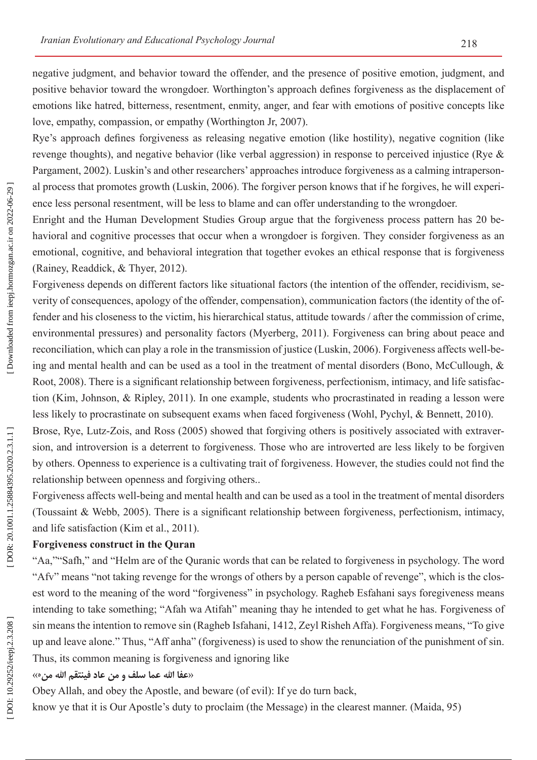negative judgment, and behavior toward the offender, and the presence of positive emotion, judgment, and positive behavior toward the wrongdoer. Worthington's approach defines forgiveness as the displacement of emotions like hatred, bitterness, resentment, enmity, anger, and fear with emotions of positive concepts like love, empathy, compassion, or empathy (Worthington Jr, 2007).

Rye's approach defines forgiveness as releasing negative emotion (like hostility), negative cognition (like revenge thoughts), and negative behavior (like verbal aggression) in response to perceived injustice (Rye & Pargament, 2002). Luskin's and other researchers' approaches introduce forgiveness as a calming intraperson al process that promotes growth (Luskin, 2006). The forgiver person knows that if he forgives, he will experi ence less personal resentment, will be less to blame and can offer understanding to the wrongdoer.

Enright and the Human Development Studies Group argue that the forgiveness process pattern has 20 be havioral and cognitive processes that occur when a wrongdoer is forgiven. They consider forgiveness as an emotional, cognitive, and behavioral integration that together evokes an ethical response that is forgiveness (Rainey, Readdick, & Thyer, 2012).

Forgiveness depends on different factors like situational factors (the intention of the offender, recidivism, severity of consequences, apology of the offender, compensation), communication factors (the identity of the offender and his closeness to the victim, his hierarchical status, attitude towards / after the commission of crime, environmental pressures) and personality factors (Myerberg, 2011). Forgiveness can bring about peace and reconciliation, which can play a role in the transmission of justice (Luskin, 2006). Forgiveness affects well-be ing and mental health and can be used as a tool in the treatment of mental disorders (Bono, McCullough, & Root, 2008). There is a significant relationship between forgiveness, perfectionism, intimacy, and life satisfac tion (Kim, Johnson, & Ripley, 2011). In one example, students who procrastinated in reading a lesson were less likely to procrastinate on subsequent exams when faced forgiveness (Wohl, Pychyl, & Bennett, 2010).

Brose, Rye, Lutz-Zois, and Ross (2005) showed that forgiving others is positively associated with extraver sion, and introversion is a deterrent to forgiveness. Those who are introverted are less likely to be forgiven by others. Openness to experience is a cultivating trait of forgiveness. However, the studies could not find the relationship between openness and forgiving others..

Forgiveness affects well-being and mental health and can be used as a tool in the treatment of mental disorders (Toussaint & Webb, 2005). There is a significant relationship between forgiveness, perfectionism, intimacy, and life satisfaction (Kim et al., 2011).

### **Forgiveness construct in the Quran**

"Aa,""Safh," and "Helm are of the Quranic words that can be related to forgiveness in psychology. The word "Afv" means "not taking revenge for the wrongs of others by a person capable of revenge", which is the clos est word to the meaning of the word "forgiveness" in psychology. Ragheb Esfahani says foregiveness means intending to take something; "Afah wa Atifah" meaning thay he intended to get what he has. Forgiveness of sin means the intention to remove sin (Ragheb Isfahani, 1412, Zeyl Risheh Affa). Forgiveness means, "To give up and leave alone." Thus, "Aff anha" (forgiveness) is used to show the renunciation of the punishment of sin. Thus, its common meaning is forgiveness and ignoring like  $\langle \cdot \rangle$ <br>**«عفا الله عما سلف و من عاد فينتق**م الله من

Obey Allah, and obey the Apostle, and beware (of evil): If ye do turn back,

know ye that it is Our Apostle's duty to proclaim (the Message) in the clearest manner. (Maida, 95)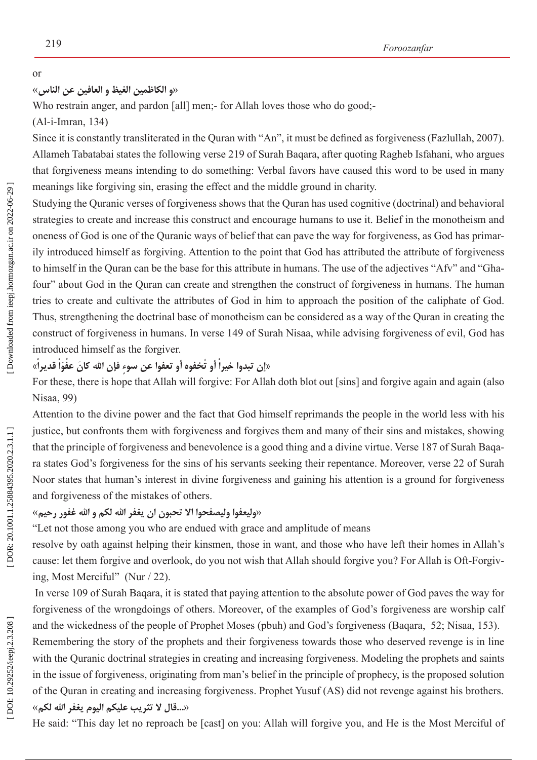# **و الکاظمین الغیظ و العافین عن الناس**» or »

Who restrain anger, and pardon [all] men;- for Allah loves those who do good;-

(Al-i-Imran, 134)

Since it is constantly transliterated in the Quran with "An", it must be defined as forgiveness (Fazlullah, 2007). Allameh Tabatabai states the following verse 219 of Surah Baqara, after quoting Ragheb Isfahani, who argues that forgiveness means intending to do something: Verbal favors have caused this word to be used in many meanings like forgiving sin, erasing the effect and the middle ground in charity.

Studying the Quranic verses of forgiveness shows that the Quran has used cognitive (doctrinal) and behavioral strategies to create and increase this construct and encourage humans to use it. Belief in the monotheism and oneness of God is one of the Quranic ways of belief that can pave the way for forgiveness, as God has primar ily introduced himself as forgiving. Attention to the point that God has attributed the attribute of forgiveness to himself in the Quran can be the base for this attribute in humans. The use of the adjectives "Afv" and "Gha four" about God in the Quran can create and strengthen the construct of forgiveness in humans. The human tries to create and cultivate the attributes of God in him to approach the position of the caliphate of God. Thus, strengthening the doctrinal base of monotheism can be considered as a way of the Quran in creating the construct of forgiveness in humans. In verse 149 of Surah Nisaa, while advising forgiveness of evil, God has introduced himself as the forgiver.

# «إن تبدوا خيراً أو تُخفوه أو تعفوا عن سوءٍ فإن الله كانَ عفُوّاً قديراً»

For these, there is hope that Allah will forgive: For Allah doth blot out [sins] and forgive again and again (also Nisaa, 99)

Attention to the divine power and the fact that God himself reprimands the people in the world less with his justice, but confronts them with forgiveness and forgives them and many of their sins and mistakes, showing that the principle of forgiveness and benevolence is a good thing and a divine virtue. Verse 187 of Surah Baqa ra states God's forgiveness for the sins of his servants seeking their repentance. Moreover, verse 22 of Surah Noor states that human's interest in divine forgiveness and gaining his attention is a ground for forgiveness end forgiveness of the mistakes of others.<br>«وليعفوا وليصفحوا الا تحبون ان يغفر الله لكم و الله غفور رحيم»

"Let not those among you who are endued with grace and amplitude of means

resolve by oath against helping their kinsmen, those in want, and those who have left their homes in Allah's cause: let them forgive and overlook, do you not wish that Allah should forgive you? For Allah is Oft-Forgiv ing, Most Merciful" (Nur / 22).

 In verse 109 of Surah Baqara, it is stated that paying attention to the absolute power of God paves the way for forgiveness of the wrongdoings of others. Moreover, of the examples of God's forgiveness are worship calf and the wickedness of the people of Prophet Moses (pbuh) and God's forgiveness (Baqara, 52; Nisaa, 153).

Remembering the story of the prophets and their forgiveness towards those who deserved revenge is in line with the Quranic doctrinal strategies in creating and increasing forgiveness. Modeling the prophets and saints in the issue of forgiveness, originating from man's belief in the principle of prophecy, is the proposed solution of the Quran in creating and increasing forgiveness. Prophet Yusuf (AS) did not revenge against his brothers. «**لکم اهلل یغفر الیوم علیکم تثریب ال قال...**«

He said: "This day let no reproach be [cast] on you: Allah will forgive you, and He is the Most Merciful of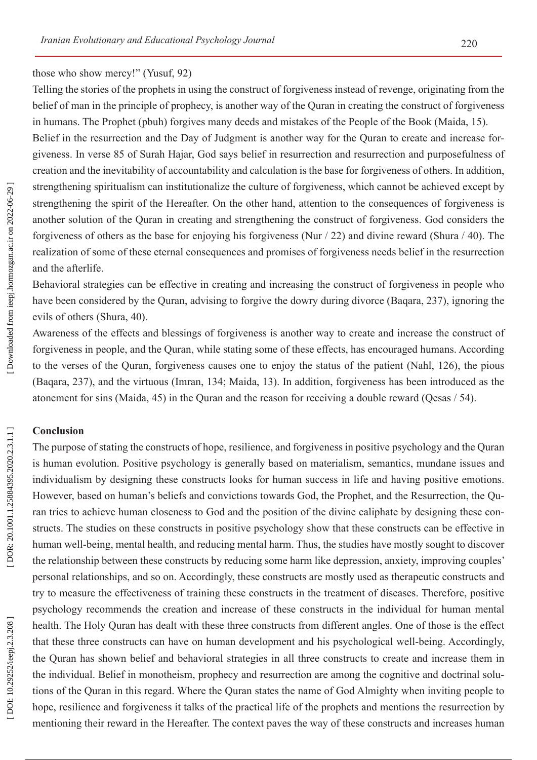#### those who show mercy!" (Yusuf, 92)

Telling the stories of the prophets in using the construct of forgiveness instead of revenge, originating from the belief of man in the principle of prophecy, is another way of the Quran in creating the construct of forgiveness in humans. The Prophet (pbuh) forgives many deeds and mistakes of the People of the Book (Maida, 15).

Belief in the resurrection and the Day of Judgment is another way for the Quran to create and increase for giveness. In verse 85 of Surah Hajar, God says belief in resurrection and resurrection and purposefulness of creation and the inevitability of accountability and calculation is the base for forgiveness of others. In addition, strengthening spiritualism can institutionalize the culture of forgiveness, which cannot be achieved except by strengthening the spirit of the Hereafter. On the other hand, attention to the consequences of forgiveness is another solution of the Quran in creating and strengthening the construct of forgiveness. God considers the forgiveness of others as the base for enjoying his forgiveness (Nur / 22) and divine reward (Shura / 40). The realization of some of these eternal consequences and promises of forgiveness needs belief in the resurrection and the afterlife.

Behavioral strategies can be effective in creating and increasing the construct of forgiveness in people who have been considered by the Quran, advising to forgive the dowry during divorce (Baqara, 237), ignoring the evils of others (Shura, 40).

Awareness of the effects and blessings of forgiveness is another way to create and increase the construct of forgiveness in people, and the Quran, while stating some of these effects, has encouraged humans. According to the verses of the Quran, forgiveness causes one to enjoy the status of the patient (Nahl, 126), the pious (Baqara, 237), and the virtuous (Imran, 134; Maida, 13). In addition, forgiveness has been introduced as the atonement for sins (Maida, 45) in the Quran and the reason for receiving a double reward (Qesas / 54).

#### **Conclusion**

The purpose of stating the constructs of hope, resilience, and forgiveness in positive psychology and the Quran is human evolution. Positive psychology is generally based on materialism, semantics, mundane issues and individualism by designing these constructs looks for human success in life and having positive emotions. However, based on human's beliefs and convictions towards God, the Prophet, and the Resurrection, the Qu ran tries to achieve human closeness to God and the position of the divine caliphate by designing these con structs. The studies on these constructs in positive psychology show that these constructs can be effective in human well-being, mental health, and reducing mental harm. Thus, the studies have mostly sought to discover the relationship between these constructs by reducing some harm like depression, anxiety, improving couples' personal relationships, and so on. Accordingly, these constructs are mostly used as therapeutic constructs and try to measure the effectiveness of training these constructs in the treatment of diseases. Therefore, positive psychology recommends the creation and increase of these constructs in the individual for human mental health. The Holy Quran has dealt with these three constructs from different angles. One of those is the effect that these three constructs can have on human development and his psychological well-being. Accordingly, the Quran has shown belief and behavioral strategies in all three constructs to create and increase them in the individual. Belief in monotheism, prophecy and resurrection are among the cognitive and doctrinal solu tions of the Quran in this regard. Where the Quran states the name of God Almighty when inviting people to hope, resilience and forgiveness it talks of the practical life of the prophets and mentions the resurrection by mentioning their reward in the Hereafter. The context paves the way of these constructs and increases human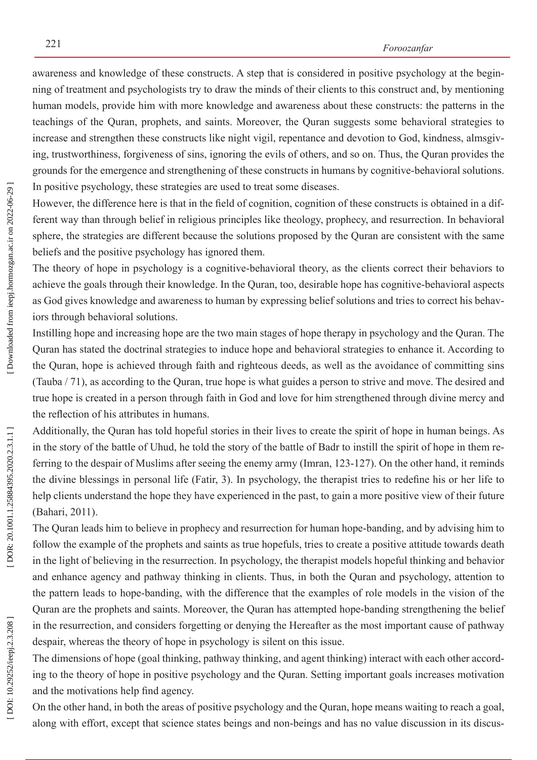awareness and knowledge of these constructs. A step that is considered in positive psychology at the begin ning of treatment and psychologists try to draw the minds of their clients to this construct and, by mentioning human models, provide him with more knowledge and awareness about these constructs: the patterns in the teachings of the Quran, prophets, and saints. Moreover, the Quran suggests some behavioral strategies to increase and strengthen these constructs like night vigil, repentance and devotion to God, kindness, almsgiv ing, trustworthiness, forgiveness of sins, ignoring the evils of others, and so on. Thus, the Quran provides the grounds for the emergence and strengthening of these constructs in humans by cognitive-behavioral solutions. In positive psychology, these strategies are used to treat some diseases.

However, the difference here is that in the field of cognition, cognition of these constructs is obtained in a different way than through belief in religious principles like theology, prophecy, and resurrection. In behavioral sphere, the strategies are different because the solutions proposed by the Quran are consistent with the same beliefs and the positive psychology has ignored them.

The theory of hope in psychology is a cognitive-behavioral theory, as the clients correct their behaviors to achieve the goals through their knowledge. In the Quran, too, desirable hope has cognitive-behavioral aspects as God gives knowledge and awareness to human by expressing belief solutions and tries to correct his behav iors through behavioral solutions.

Instilling hope and increasing hope are the two main stages of hope therapy in psychology and the Quran. The Quran has stated the doctrinal strategies to induce hope and behavioral strategies to enhance it. According to the Quran, hope is achieved through faith and righteous deeds, as well as the avoidance of committing sins (Tauba / 71), as according to the Quran, true hope is what guides a person to strive and move. The desired and true hope is created in a person through faith in God and love for him strengthened through divine mercy and the reflection of his attributes in humans.

Additionally, the Quran has told hopeful stories in their lives to create the spirit of hope in human beings. As in the story of the battle of Uhud, he told the story of the battle of Badr to instill the spirit of hope in them referring to the despair of Muslims after seeing the enemy army (Imran, 123-127). On the other hand, it reminds the divine blessings in personal life (Fatir, 3). In psychology, the therapist tries to redefine his or her life to help clients understand the hope they have experienced in the past, to gain a more positive view of their future (Bahari, 2011).

The Quran leads him to believe in prophecy and resurrection for human hope-banding, and by advising him to follow the example of the prophets and saints as true hopefuls, tries to create a positive attitude towards death in the light of believing in the resurrection. In psychology, the therapist models hopeful thinking and behavior and enhance agency and pathway thinking in clients. Thus, in both the Quran and psychology, attention to the pattern leads to hope-banding, with the difference that the examples of role models in the vision of the Quran are the prophets and saints. Moreover, the Quran has attempted hope-banding strengthening the belief in the resurrection, and considers forgetting or denying the Hereafter as the most important cause of pathway despair, whereas the theory of hope in psychology is silent on this issue.

The dimensions of hope (goal thinking, pathway thinking, and agent thinking) interact with each other accord ing to the theory of hope in positive psychology and the Quran. Setting important goals increases motivation and the motivations help find agency.

On the other hand, in both the areas of positive psychology and the Quran, hope means waiting to reach a goal, along with effort, except that science states beings and non-beings and has no value discussion in its discus -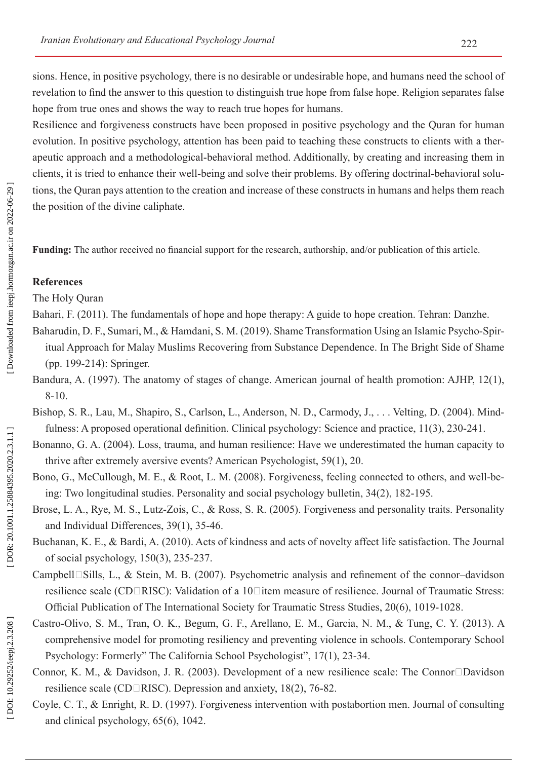Resilience and forgiveness constructs have been proposed in positive psychology and the Quran for human evolution. In positive psychology, attention has been paid to teaching these constructs to clients with a ther apeutic approach and a methodological-behavioral method. Additionally, by creating and increasing them in clients, it is tried to enhance their well-being and solve their problems. By offering doctrinal-behavioral solu tions, the Quran pays attention to the creation and increase of these constructs in humans and helps them reach the position of the divine caliphate.

**Funding:** The author received no financial support for the research, authorship, and/or publication of this article.

# **References**

The Holy Quran

Bahari, F. (2011). The fundamentals of hope and hope therapy: A guide to hope creation. Tehran: Danzhe.

- Baharudin, D. F., Sumari, M., & Hamdani, S. M. (2019). Shame Transformation Using an Islamic Psycho-Spir itual Approach for Malay Muslims Recovering from Substance Dependence. In The Bright Side of Shame (pp. 199-214): Springer.
- Bandura, A. (1997). The anatomy of stages of change. American journal of health promotion: AJHP, 12(1), 8-10.
- Bishop, S. R., Lau, M., Shapiro, S., Carlson, L., Anderson, N. D., Carmody, J., . . . Velting, D. (2004). Mind fulness: A proposed operational definition. Clinical psychology: Science and practice, 11(3), 230-241.
- Bonanno, G. A. (2004). Loss, trauma, and human resilience: Have we underestimated the human capacity to thrive after extremely aversive events? American Psychologist, 59(1), 20.
- Bono, G., McCullough, M. E., & Root, L. M. (2008). Forgiveness, feeling connected to others, and well-being: Two longitudinal studies. Personality and social psychology bulletin, 34(2), 182-195.
- Brose, L. A., Rye, M. S., Lutz-Zois, C., & Ross, S. R. (2005). Forgiveness and personality traits. Personality and Individual Differences, 39(1), 35-46.
- Buchanan, K. E., & Bardi, A. (2010). Acts of kindness and acts of novelty affect life satisfaction. The Journal of social psychology, 150(3), 235-237.
- Campbell<sup>[</sup>Sills, L., & Stein, M. B. (2007). Psychometric analysis and refinement of the connor-davidson resilience scale (CD□RISC): Validation of a 10□item measure of resilience. Journal of Traumatic Stress: Official Publication of The International Society for Traumatic Stress Studies, 20(6), 1019-1028.
- Castro-Olivo, S. M., Tran, O. K., Begum, G. F., Arellano, E. M., Garcia, N. M., & Tung, C. Y. (2013). A comprehensive model for promoting resiliency and preventing violence in schools. Contemporary School Psychology: Formerly" The California School Psychologist", 17(1), 23-34.
- Connor, K. M., & Davidson, J. R. (2003). Development of a new resilience scale: The Connor $\square$ Davidson resilience scale (CD $\Box$ RISC). Depression and anxiety, 18(2), 76-82.
- Coyle, C. T., & Enright, R. D. (1997). Forgiveness intervention with postabortion men. Journal of consulting and clinical psychology, 65(6), 1042.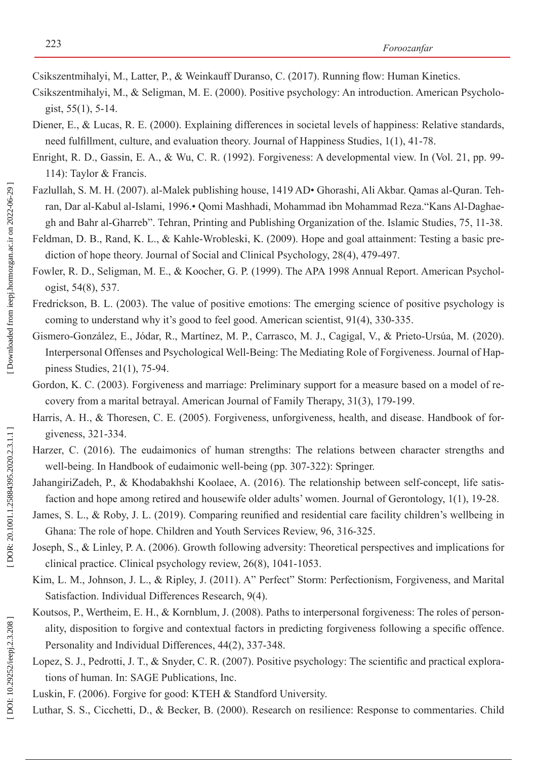Csikszentmihalyi, M., Latter, P., & Weinkauff Duranso, C. (2017). Running flow: Human Kinetics.

- Csikszentmihalyi, M., & Seligman, M. E. (2000). Positive psychology: An introduction. American Psycholo gist, 55(1), 5-14.
- Diener, E., & Lucas, R. E. (2000). Explaining differences in societal levels of happiness: Relative standards, need fulfillment, culture, and evaluation theory. Journal of Happiness Studies, 1(1), 41-78.
- Enright, R. D., Gassin, E. A., & Wu, C. R. (1992). Forgiveness: A developmental view. In (Vol. 21, pp. 99- 114): Taylor & Francis.
- Fazlullah, S. M. H. (2007). al-Malek publishing house, 1419 AD• Ghorashi, Ali Akbar. Qamas al-Quran. Teh ran, Dar al-Kabul al-Islami, 1996.• Qomi Mashhadi, Mohammad ibn Mohammad Reza."Kans Al-Daghae gh and Bahr al-Gharreb". Tehran, Printing and Publishing Organization of the. Islamic Studies, 75, 11-38.
- Feldman, D. B., Rand, K. L., & Kahle-Wrobleski, K. (2009). Hope and goal attainment: Testing a basic prediction of hope theory. Journal of Social and Clinical Psychology, 28(4), 479-497.
- Fowler, R. D., Seligman, M. E., & Koocher, G. P. (1999). The APA 1998 Annual Report. American Psychologist, 54(8), 537.
- Fredrickson, B. L. (2003). The value of positive emotions: The emerging science of positive psychology is coming to understand why it's good to feel good. American scientist, 91(4), 330-335.
- Gismero-González, E., Jódar, R., Martínez, M. P., Carrasco, M. J., Cagigal, V., & Prieto-Ursúa, M. (2020). Interpersonal Offenses and Psychological Well-Being: The Mediating Role of Forgiveness. Journal of Hap piness Studies, 21(1), 75-94.
- Gordon, K. C. (2003). Forgiveness and marriage: Preliminary support for a measure based on a model of recovery from a marital betrayal. American Journal of Family Therapy, 31(3), 179-199.
- Harris, A. H., & Thoresen, C. E. (2005). Forgiveness, unforgiveness, health, and disease. Handbook of forgiveness, 321-334.
- Harzer, C. (2016). The eudaimonics of human strengths: The relations between character strengths and well-being. In Handbook of eudaimonic well-being (pp. 307-322): Springer .
- JahangiriZadeh, P., & Khodabakhshi Koolaee, A. (2016). The relationship between self-concept, life satis faction and hope among retired and housewife older adults' women. Journal of Gerontology, 1(1), 19-28.
- James, S. L., & Roby, J. L. (2019). Comparing reunified and residential care facility children's wellbeing in Ghana: The role of hope. Children and Youth Services Review, 96, 316-325.
- Joseph, S., & Linley, P. A. (2006). Growth following adversity: Theoretical perspectives and implications for clinical practice. Clinical psychology review, 26(8), 1041-1053.
- Kim, L. M., Johnson, J. L., & Ripley, J. (2011). A" Perfect" Storm: Perfectionism, Forgiveness, and Marital Satisfaction. Individual Differences Research, 9(4).
- Koutsos, P., Wertheim, E. H., & Kornblum, J. (2008). Paths to interpersonal forgiveness: The roles of personality, disposition to forgive and contextual factors in predicting forgiveness following a specific offence. Personality and Individual Differences, 44(2), 337-348.
- Lopez, S. J., Pedrotti, J. T., & Snyder, C. R. (2007). Positive psychology: The scientific and practical explorations of human. In: SAGE Publications, Inc.
- Luskin, F. (2006). Forgive for good: KTEH & Standford University.
- Luthar, S. S., Cicchetti, D., & Becker, B. (2000). Research on resilience: Response to commentaries. Child

DOI: 10.29252/ieepj.2.3.208